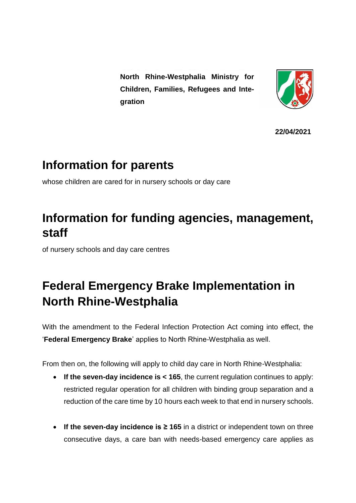**North Rhine-Westphalia Ministry for Children, Families, Refugees and Integration**



**22/04/2021**

## **Information for parents**

whose children are cared for in nursery schools or day care

## **Information for funding agencies, management, staff**

of nursery schools and day care centres

## **Federal Emergency Brake Implementation in North Rhine-Westphalia**

With the amendment to the Federal Infection Protection Act coming into effect, the '**Federal Emergency Brake**' applies to North Rhine-Westphalia as well.

From then on, the following will apply to child day care in North Rhine-Westphalia:

- **If the seven-day incidence is < 165**, the current regulation continues to apply: restricted regular operation for all children with binding group separation and a reduction of the care time by 10 hours each week to that end in nursery schools.
- **If the seven-day incidence is ≥ 165** in a district or independent town on three consecutive days, a care ban with needs-based emergency care applies as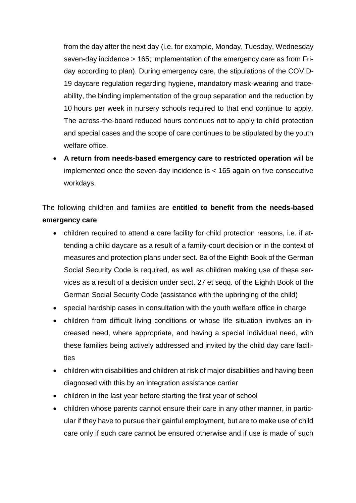from the day after the next day (i.e. for example, Monday, Tuesday, Wednesday seven-day incidence > 165; implementation of the emergency care as from Friday according to plan). During emergency care, the stipulations of the COVID-19 daycare regulation regarding hygiene, mandatory mask-wearing and traceability, the binding implementation of the group separation and the reduction by 10 hours per week in nursery schools required to that end continue to apply. The across-the-board reduced hours continues not to apply to child protection and special cases and the scope of care continues to be stipulated by the youth welfare office.

 **A return from needs-based emergency care to restricted operation** will be implemented once the seven-day incidence is < 165 again on five consecutive workdays.

The following children and families are **entitled to benefit from the needs-based emergency care**:

- children required to attend a care facility for child protection reasons, i.e. if attending a child daycare as a result of a family-court decision or in the context of measures and protection plans under sect. 8a of the Eighth Book of the German Social Security Code is required, as well as children making use of these services as a result of a decision under sect. 27 et seqq. of the Eighth Book of the German Social Security Code (assistance with the upbringing of the child)
- special hardship cases in consultation with the youth welfare office in charge
- children from difficult living conditions or whose life situation involves an increased need, where appropriate, and having a special individual need, with these families being actively addressed and invited by the child day care facilities
- children with disabilities and children at risk of major disabilities and having been diagnosed with this by an integration assistance carrier
- children in the last year before starting the first year of school
- children whose parents cannot ensure their care in any other manner, in particular if they have to pursue their gainful employment, but are to make use of child care only if such care cannot be ensured otherwise and if use is made of such